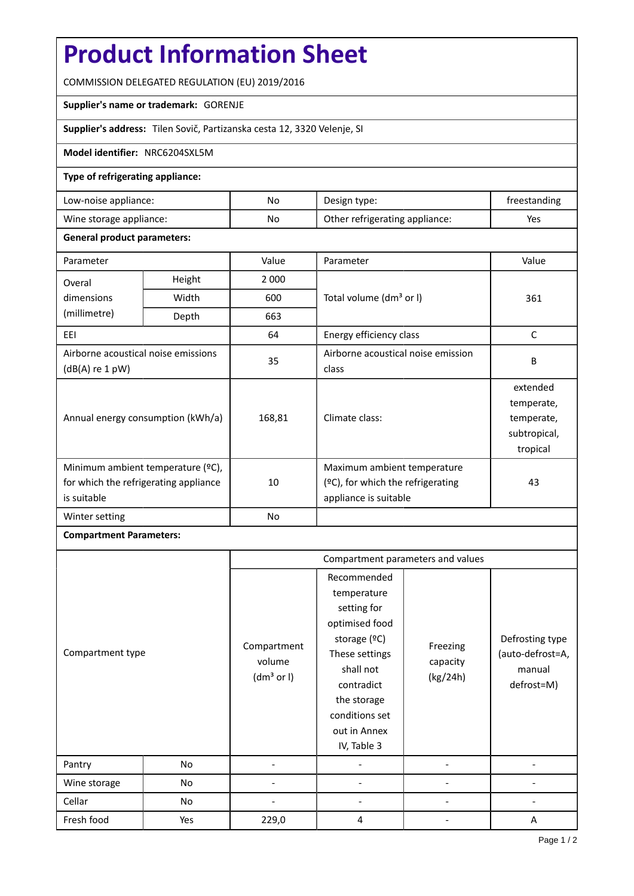# **Product Information Sheet**

COMMISSION DELEGATED REGULATION (EU) 2019/2016

### **Supplier's name or trademark:** GORENJE

**Supplier's address:** Tilen Sovič, Partizanska cesta 12, 3320 Velenje, SI

### **Model identifier:** NRC6204SXL5M

## **Type of refrigerating appliance:**

| Low-noise appliance:    | No | Design type:                   | treestanding |
|-------------------------|----|--------------------------------|--------------|
| Wine storage appliance: | No | Other refrigerating appliance: | Yes          |

### **General product parameters:**

| Parameter                                                                                 |        | Value   | Parameter                                                                                 | Value                                                            |
|-------------------------------------------------------------------------------------------|--------|---------|-------------------------------------------------------------------------------------------|------------------------------------------------------------------|
| Overal                                                                                    | Height | 2 0 0 0 |                                                                                           | 361                                                              |
| dimensions<br>(millimetre)                                                                | Width  | 600     | Total volume (dm <sup>3</sup> or I)                                                       |                                                                  |
|                                                                                           | Depth  | 663     |                                                                                           |                                                                  |
| EEL                                                                                       |        | 64      | Energy efficiency class                                                                   | C                                                                |
| Airborne acoustical noise emissions<br>$(dB(A)$ re 1 pW)                                  |        | 35      | Airborne acoustical noise emission<br>class                                               | B                                                                |
| Annual energy consumption (kWh/a)                                                         |        | 168,81  | Climate class:                                                                            | extended<br>temperate,<br>temperate,<br>subtropical,<br>tropical |
| Minimum ambient temperature (°C),<br>for which the refrigerating appliance<br>is suitable |        | 10      | Maximum ambient temperature<br>(ºC), for which the refrigerating<br>appliance is suitable | 43                                                               |
| Winter setting                                                                            |        | No      |                                                                                           |                                                                  |

### **Compartment Parameters:**

|                  |     | Compartment parameters and values               |                                                                                                                                                                                          |                                  |                                                             |
|------------------|-----|-------------------------------------------------|------------------------------------------------------------------------------------------------------------------------------------------------------------------------------------------|----------------------------------|-------------------------------------------------------------|
| Compartment type |     | Compartment<br>volume<br>(dm <sup>3</sup> or I) | Recommended<br>temperature<br>setting for<br>optimised food<br>storage (ºC)<br>These settings<br>shall not<br>contradict<br>the storage<br>conditions set<br>out in Annex<br>IV, Table 3 | Freezing<br>capacity<br>(kg/24h) | Defrosting type<br>(auto-defrost=A,<br>manual<br>defrost=M) |
| Pantry           | No  |                                                 |                                                                                                                                                                                          |                                  |                                                             |
| Wine storage     | No  |                                                 |                                                                                                                                                                                          |                                  |                                                             |
| Cellar           | No  |                                                 |                                                                                                                                                                                          |                                  |                                                             |
| Fresh food       | Yes | 229,0                                           | 4                                                                                                                                                                                        |                                  | A                                                           |